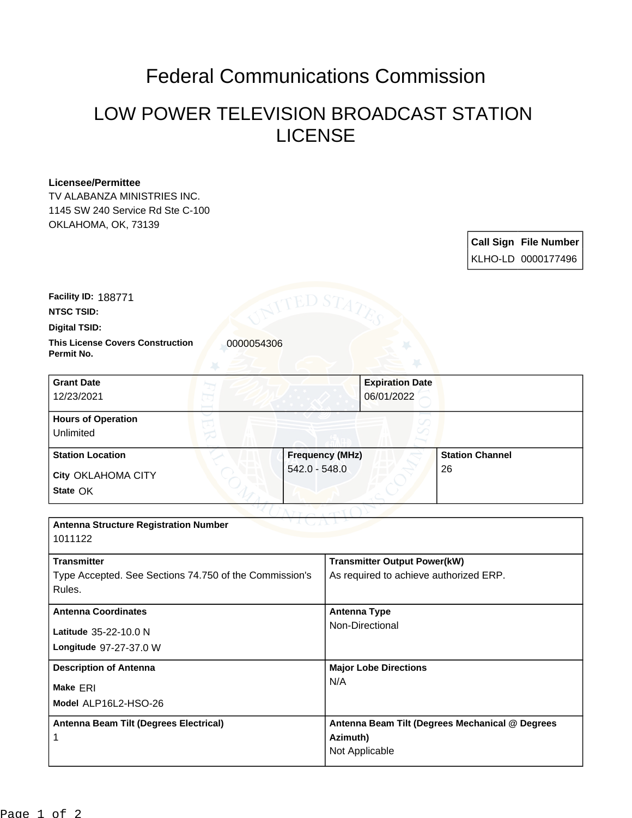## Federal Communications Commission

## LOW POWER TELEVISION BROADCAST STATION LICENSE

## **Licensee/Permittee**

TV ALABANZA MINISTRIES INC. 1145 SW 240 Service Rd Ste C-100 OKLAHOMA, OK, 73139

> **Call Sign File Number** KLHO-LD 0000177496

**Facility ID:** 188771

**NTSC TSID:**

**Digital TSID:**

**This License Covers Construction 10000054306 Permit No.**

**State** OK **City** OKLAHOMA CITY **Grant Date** 12/23/2021 **Expiration Date** 06/01/2022 **Hours of Operation** Unlimited **Station Location Frequency (MHz)** 542.0 - 548.0 **Station Channel** 26

| <b>Antenna Structure Registration Number</b><br>1011122                                |                                                                               |
|----------------------------------------------------------------------------------------|-------------------------------------------------------------------------------|
| <b>Transmitter</b><br>Type Accepted. See Sections 74.750 of the Commission's<br>Rules. | <b>Transmitter Output Power(kW)</b><br>As required to achieve authorized ERP. |
| <b>Antenna Coordinates</b><br>Latitude 35-22-10.0 N<br>Longitude 97-27-37.0 W          | <b>Antenna Type</b><br>Non-Directional                                        |
| <b>Description of Antenna</b><br>Make ERI<br>Model ALP16L2-HSO-26                      | <b>Major Lobe Directions</b><br>N/A                                           |
| Antenna Beam Tilt (Degrees Electrical)                                                 | Antenna Beam Tilt (Degrees Mechanical @ Degrees<br>Azimuth)<br>Not Applicable |